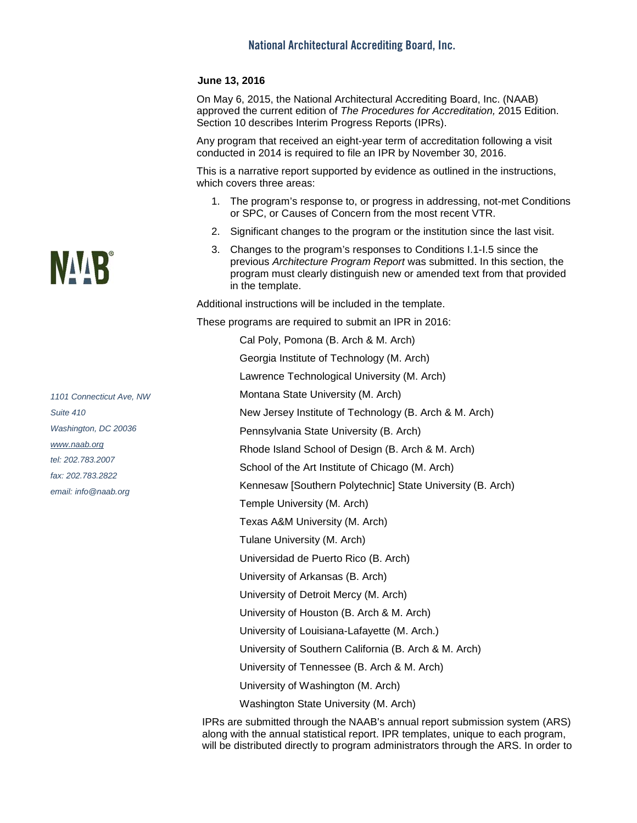## **June 13, 2016**

On May 6, 2015, the National Architectural Accrediting Board, Inc. (NAAB) approved the current edition of *The Procedures for Accreditation,* 2015 Edition. Section 10 describes Interim Progress Reports (IPRs).

Any program that received an eight-year term of accreditation following a visit conducted in 2014 is required to file an IPR by November 30, 2016.

This is a narrative report supported by evidence as outlined in the instructions, which covers three areas:

- 1. The program's response to, or progress in addressing, not-met Conditions or SPC, or Causes of Concern from the most recent VTR.
- 2. Significant changes to the program or the institution since the last visit.
- 3. Changes to the program's responses to Conditions I.1-I.5 since the previous *Architecture Program Report* was submitted. In this section, the program must clearly distinguish new or amended text from that provided in the template.

Additional instructions will be included in the template.

These programs are required to submit an IPR in 2016:

Cal Poly, Pomona (B. Arch & M. Arch) Georgia Institute of Technology (M. Arch) Lawrence Technological University (M. Arch) Montana State University (M. Arch) New Jersey Institute of Technology (B. Arch & M. Arch) Pennsylvania State University (B. Arch) Rhode Island School of Design (B. Arch & M. Arch) School of the Art Institute of Chicago (M. Arch) Kennesaw [Southern Polytechnic] State University (B. Arch) Temple University (M. Arch) Texas A&M University (M. Arch) Tulane University (M. Arch) Universidad de Puerto Rico (B. Arch) University of Arkansas (B. Arch) University of Detroit Mercy (M. Arch) University of Houston (B. Arch & M. Arch) University of Louisiana-Lafayette (M. Arch.) University of Southern California (B. Arch & M. Arch) University of Tennessee (B. Arch & M. Arch) University of Washington (M. Arch) Washington State University (M. Arch)

IPRs are submitted through the NAAB's annual report submission system (ARS) along with the annual statistical report. IPR templates, unique to each program, will be distributed directly to program administrators through the ARS. In order to

## **NAAR**

*1101 Connecticut Ave, NW Suite 410 Washington, DC 20036 [www.naab.org](http://www.naab.org/) tel: 202.783.2007 fax: 202.783.2822 email: info@naab.org*